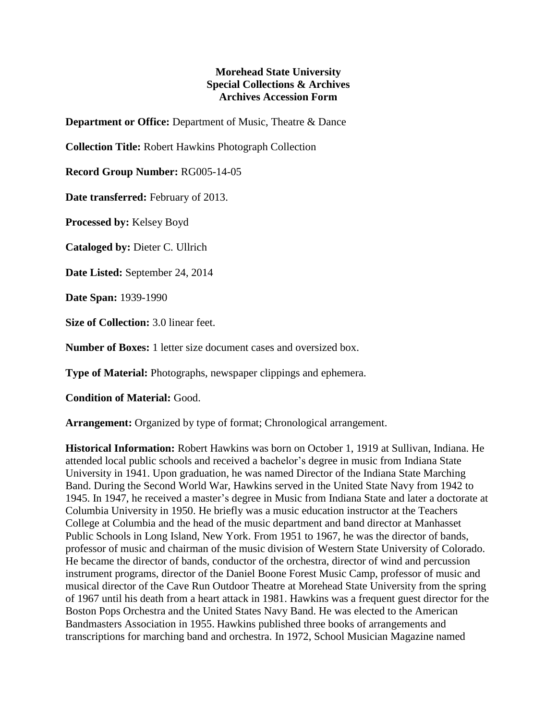## **Morehead State University Special Collections & Archives Archives Accession Form**

**Department or Office:** Department of Music, Theatre & Dance

**Collection Title:** Robert Hawkins Photograph Collection

**Record Group Number:** RG005-14-05

**Date transferred:** February of 2013.

**Processed by:** Kelsey Boyd

**Cataloged by:** Dieter C. Ullrich

**Date Listed:** September 24, 2014

**Date Span:** 1939-1990

**Size of Collection:** 3.0 linear feet.

**Number of Boxes:** 1 letter size document cases and oversized box.

**Type of Material:** Photographs, newspaper clippings and ephemera.

**Condition of Material:** Good.

**Arrangement:** Organized by type of format; Chronological arrangement.

**Historical Information:** Robert Hawkins was born on October 1, 1919 at Sullivan, Indiana. He attended local public schools and received a bachelor's degree in music from Indiana State University in 1941. Upon graduation, he was named Director of the Indiana State Marching Band. During the Second World War, Hawkins served in the United State Navy from 1942 to 1945. In 1947, he received a master's degree in Music from Indiana State and later a doctorate at Columbia University in 1950. He briefly was a music education instructor at the Teachers College at Columbia and the head of the music department and band director at Manhasset Public Schools in Long Island, New York. From 1951 to 1967, he was the director of bands, professor of music and chairman of the music division of Western State University of Colorado. He became the director of bands, conductor of the orchestra, director of wind and percussion instrument programs, director of the Daniel Boone Forest Music Camp, professor of music and musical director of the Cave Run Outdoor Theatre at Morehead State University from the spring of 1967 until his death from a heart attack in 1981. Hawkins was a frequent guest director for the Boston Pops Orchestra and the United States Navy Band. He was elected to the American Bandmasters Association in 1955. Hawkins published three books of arrangements and transcriptions for marching band and orchestra. In 1972, School Musician Magazine named